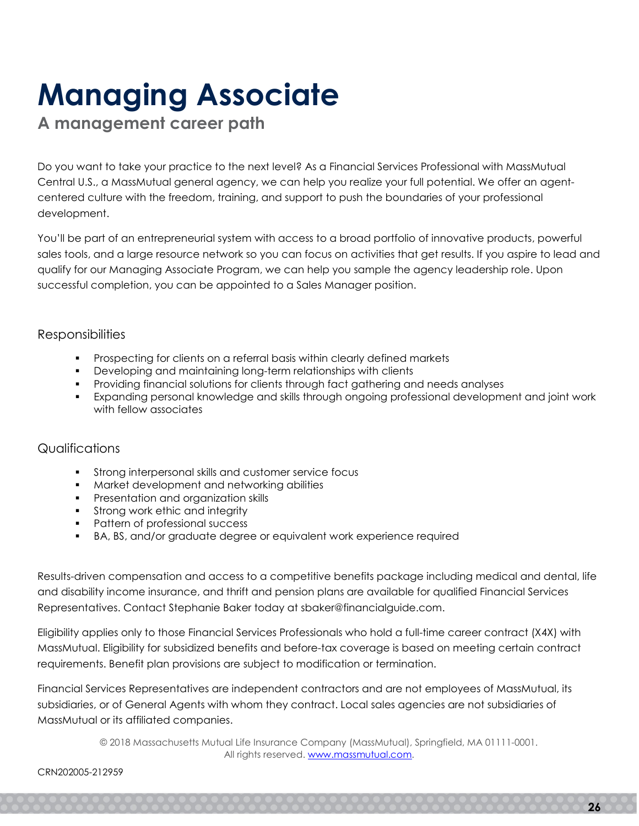# Managing Associate

A management career path

Do you want to take your practice to the next level? As a Financial Services Professional with MassMutual Central U.S., a MassMutual general agency, we can help you realize your full potential. We offer an agentcentered culture with the freedom, training, and support to push the boundaries of your professional development.

You'll be part of an entrepreneurial system with access to a broad portfolio of innovative products, powerful sales tools, and a large resource network so you can focus on activities that get results. If you aspire to lead and qualify for our Managing Associate Program, we can help you sample the agency leadership role. Upon successful completion, you can be appointed to a Sales Manager position.

## Responsibilities

- Prospecting for clients on a referral basis within clearly defined markets
- Developing and maintaining long-term relationships with clients
- Providing financial solutions for clients through fact gathering and needs analyses
- Expanding personal knowledge and skills through ongoing professional development and joint work with fellow associates

## **Qualifications**

- **Strong interpersonal skills and customer service focus**
- **Market development and networking abilities**
- **Presentation and organization skills**
- **Strong work ethic and integrity**
- Pattern of professional success
- BA, BS, and/or graduate degree or equivalent work experience required

Results-driven compensation and access to a competitive benefits package including medical and dental, life and disability income insurance, and thrift and pension plans are available for qualified Financial Services Representatives. Contact Stephanie Baker today at sbaker@financialguide.com.

Eligibility applies only to those Financial Services Professionals who hold a full-time career contract (X4X) with MassMutual. Eligibility for subsidized benefits and before-tax coverage is based on meeting certain contract requirements. Benefit plan provisions are subject to modification or termination.

Financial Services Representatives are independent contractors and are not employees of MassMutual, its subsidiaries, or of General Agents with whom they contract. Local sales agencies are not subsidiaries of MassMutual or its affiliated companies.

> © 2018 Massachusetts Mutual Life Insurance Company (MassMutual), Springfield, MA 01111-0001. All rights reserved. www.massmutual.com.

#### CRN202005-212959